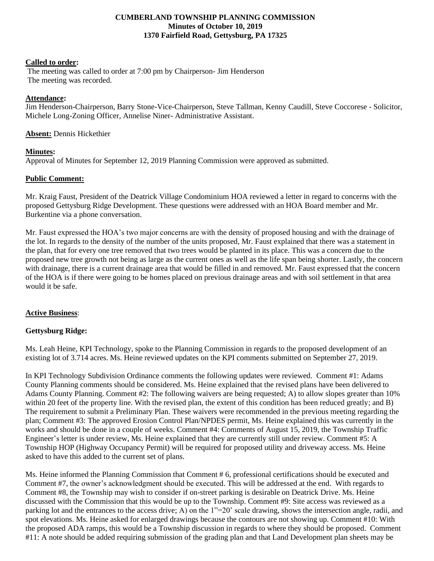### **CUMBERLAND TOWNSHIP PLANNING COMMISSION Minutes of October 10, 2019 1370 Fairfield Road, Gettysburg, PA 17325**

#### **Called to order:**

The meeting was called to order at 7:00 pm by Chairperson- Jim Henderson The meeting was recorded.

## **Attendance:**

Jim Henderson-Chairperson, Barry Stone-Vice-Chairperson, Steve Tallman, Kenny Caudill, Steve Coccorese - Solicitor, Michele Long-Zoning Officer, Annelise Niner- Administrative Assistant.

### **Absent:** Dennis Hickethier

### **Minutes:**

Approval of Minutes for September 12, 2019 Planning Commission were approved as submitted.

### **Public Comment:**

Mr. Kraig Faust, President of the Deatrick Village Condominium HOA reviewed a letter in regard to concerns with the proposed Gettysburg Ridge Development. These questions were addressed with an HOA Board member and Mr. Burkentine via a phone conversation.

Mr. Faust expressed the HOA's two major concerns are with the density of proposed housing and with the drainage of the lot. In regards to the density of the number of the units proposed, Mr. Faust explained that there was a statement in the plan, that for every one tree removed that two trees would be planted in its place. This was a concern due to the proposed new tree growth not being as large as the current ones as well as the life span being shorter. Lastly, the concern with drainage, there is a current drainage area that would be filled in and removed. Mr. Faust expressed that the concern of the HOA is if there were going to be homes placed on previous drainage areas and with soil settlement in that area would it be safe.

#### **Active Business**:

# **Gettysburg Ridge:**

Ms. Leah Heine, KPI Technology, spoke to the Planning Commission in regards to the proposed development of an existing lot of 3.714 acres. Ms. Heine reviewed updates on the KPI comments submitted on September 27, 2019.

In KPI Technology Subdivision Ordinance comments the following updates were reviewed. Comment #1: Adams County Planning comments should be considered. Ms. Heine explained that the revised plans have been delivered to Adams County Planning. Comment #2: The following waivers are being requested; A) to allow slopes greater than 10% within 20 feet of the property line. With the revised plan, the extent of this condition has been reduced greatly; and B) The requirement to submit a Preliminary Plan. These waivers were recommended in the previous meeting regarding the plan; Comment #3: The approved Erosion Control Plan/NPDES permit, Ms. Heine explained this was currently in the works and should be done in a couple of weeks. Comment #4: Comments of August 15, 2019, the Township Traffic Engineer's letter is under review, Ms. Heine explained that they are currently still under review. Comment #5: A Township HOP (Highway Occupancy Permit) will be required for proposed utility and driveway access. Ms. Heine asked to have this added to the current set of plans.

Ms. Heine informed the Planning Commission that Comment # 6, professional certifications should be executed and Comment #7, the owner's acknowledgment should be executed. This will be addressed at the end. With regards to Comment #8, the Township may wish to consider if on-street parking is desirable on Deatrick Drive. Ms. Heine discussed with the Commission that this would be up to the Township. Comment #9: Site access was reviewed as a parking lot and the entrances to the access drive; A) on the  $1"=20'$  scale drawing, shows the intersection angle, radii, and spot elevations. Ms. Heine asked for enlarged drawings because the contours are not showing up. Comment #10: With the proposed ADA ramps, this would be a Township discussion in regards to where they should be proposed. Comment #11: A note should be added requiring submission of the grading plan and that Land Development plan sheets may be